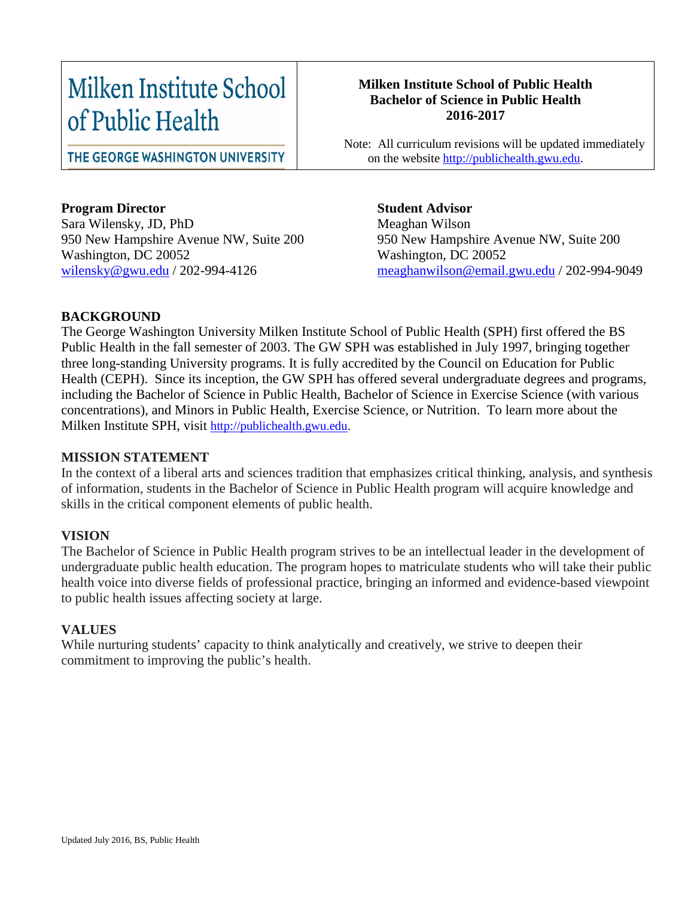# Milken Institute School of Public Health

THE GEORGE WASHINGTON UNIVERSITY

## **Program Director**

Sara Wilensky, JD, PhD 950 New Hampshire Avenue NW, Suite 200 Washington, DC 20052 [wilensky@gwu.edu](mailto:wilensky@gwu.edu) / 202-994-4126

#### **Milken Institute School of Public Health Bachelor of Science in Public Health 2016-2017**

 Note: All curriculum revisions will be updated immediately on the website [http://publichealth.gwu.edu.](http://publichealth.gwu.edu/)

> **Student Advisor** Meaghan Wilson 950 New Hampshire Avenue NW, Suite 200 Washington, DC 20052 [meaghanwilson@email.gwu.edu](mailto:meaghanwilson@email.gwu.edu) / 202-994-9049

### **BACKGROUND**

The George Washington University Milken Institute School of Public Health (SPH) first offered the BS Public Health in the fall semester of 2003. The GW SPH was established in July 1997, bringing together three long-standing University programs. It is fully accredited by the Council on Education for Public Health (CEPH). Since its inception, the GW SPH has offered several undergraduate degrees and programs, including the Bachelor of Science in Public Health, Bachelor of Science in Exercise Science (with various concentrations), and Minors in Public Health, Exercise Science, or Nutrition. To learn more about the Milken Institute SPH, visit [http://publichealth.gwu.edu.](http://publichealth.gwu.edu/)

#### **MISSION STATEMENT**

In the context of a liberal arts and sciences tradition that emphasizes critical thinking, analysis, and synthesis of information, students in the Bachelor of Science in Public Health program will acquire knowledge and skills in the critical component elements of public health.

#### **VISION**

The Bachelor of Science in Public Health program strives to be an intellectual leader in the development of undergraduate public health education. The program hopes to matriculate students who will take their public health voice into diverse fields of professional practice, bringing an informed and evidence-based viewpoint to public health issues affecting society at large.

#### **VALUES**

While nurturing students' capacity to think analytically and creatively, we strive to deepen their commitment to improving the public's health.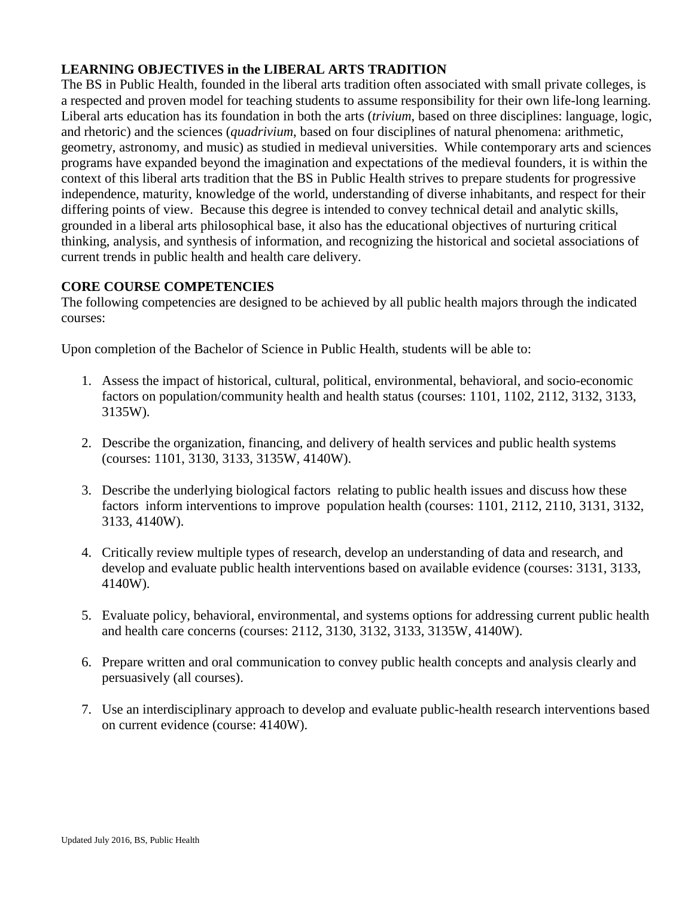## **LEARNING OBJECTIVES in the LIBERAL ARTS TRADITION**

The BS in Public Health, founded in the liberal arts tradition often associated with small private colleges, is a respected and proven model for teaching students to assume responsibility for their own life-long learning. Liberal arts education has its foundation in both the arts (*trivium*, based on three disciplines: language, logic, and rhetoric) and the sciences (*quadrivium*, based on four disciplines of natural phenomena: arithmetic, geometry, astronomy, and music) as studied in medieval universities. While contemporary arts and sciences programs have expanded beyond the imagination and expectations of the medieval founders, it is within the context of this liberal arts tradition that the BS in Public Health strives to prepare students for progressive independence, maturity, knowledge of the world, understanding of diverse inhabitants, and respect for their differing points of view. Because this degree is intended to convey technical detail and analytic skills, grounded in a liberal arts philosophical base, it also has the educational objectives of nurturing critical thinking, analysis, and synthesis of information, and recognizing the historical and societal associations of current trends in public health and health care delivery.

#### **CORE COURSE COMPETENCIES**

The following competencies are designed to be achieved by all public health majors through the indicated courses:

Upon completion of the Bachelor of Science in Public Health, students will be able to:

- 1. Assess the impact of historical, cultural, political, environmental, behavioral, and socio-economic factors on population/community health and health status (courses: 1101, 1102, 2112, 3132, 3133, 3135W).
- 2. Describe the organization, financing, and delivery of health services and public health systems (courses: 1101, 3130, 3133, 3135W, 4140W).
- 3. Describe the underlying biological factors relating to public health issues and discuss how these factors inform interventions to improve population health (courses: 1101, 2112, 2110, 3131, 3132, 3133, 4140W).
- 4. Critically review multiple types of research, develop an understanding of data and research, and develop and evaluate public health interventions based on available evidence (courses: 3131, 3133, 4140W).
- 5. Evaluate policy, behavioral, environmental, and systems options for addressing current public health and health care concerns (courses: 2112, 3130, 3132, 3133, 3135W, 4140W).
- 6. Prepare written and oral communication to convey public health concepts and analysis clearly and persuasively (all courses).
- 7. Use an interdisciplinary approach to develop and evaluate public-health research interventions based on current evidence (course: 4140W).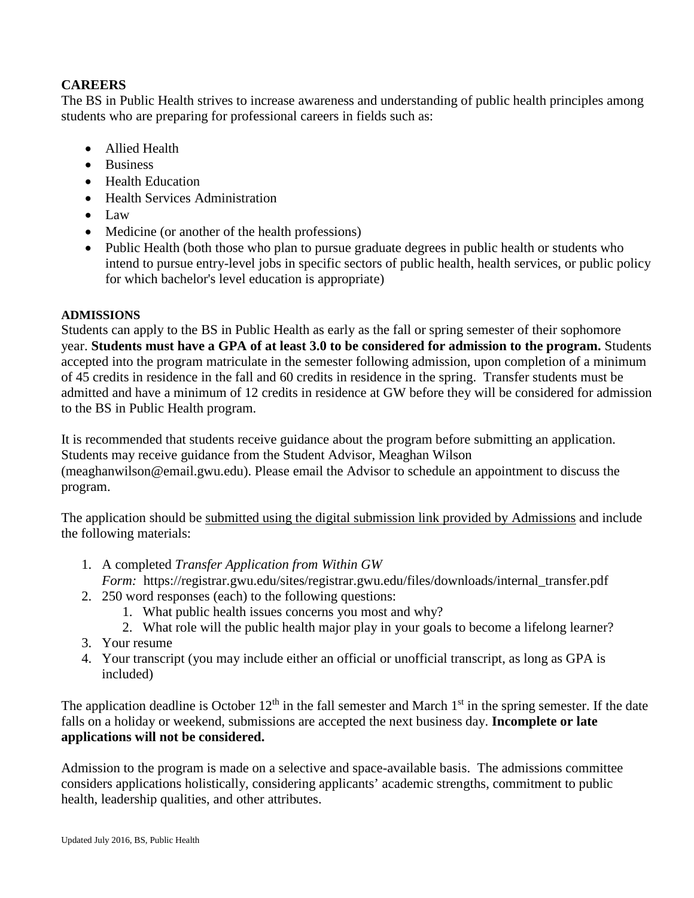### **CAREERS**

The BS in Public Health strives to increase awareness and understanding of public health principles among students who are preparing for professional careers in fields such as:

- Allied Health
- Business
- Health Education
- Health Services Administration
- Law
- Medicine (or another of the health professions)
- Public Health (both those who plan to pursue graduate degrees in public health or students who intend to pursue entry-level jobs in specific sectors of public health, health services, or public policy for which bachelor's level education is appropriate)

#### **ADMISSIONS**

Students can apply to the BS in Public Health as early as the fall or spring semester of their sophomore year. **Students must have a GPA of at least 3.0 to be considered for admission to the program.** Students accepted into the program matriculate in the semester following admission, upon completion of a minimum of 45 credits in residence in the fall and 60 credits in residence in the spring. Transfer students must be admitted and have a minimum of 12 credits in residence at GW before they will be considered for admission to the BS in Public Health program.

It is recommended that students receive guidance about the program before submitting an application. Students may receive guidance from the Student Advisor, Meaghan Wilson (meaghanwilson@email.gwu.edu). Please email the Advisor to schedule an appointment to discuss the program.

The application should be submitted using the digital submission link provided by Admissions and include the following materials:

- 1. A completed *Transfer Application from Within GW* 
	- *Form:* https://registrar.gwu.edu/sites/registrar.gwu.edu/files/downloads/internal\_transfer.pdf
- 2. 250 word responses (each) to the following questions:
	- 1. What public health issues concerns you most and why?
	- 2. What role will the public health major play in your goals to become a lifelong learner?
- 3. Your resume
- 4. Your transcript (you may include either an official or unofficial transcript, as long as GPA is included)

The application deadline is October  $12<sup>th</sup>$  in the fall semester and March  $1<sup>st</sup>$  in the spring semester. If the date falls on a holiday or weekend, submissions are accepted the next business day. **Incomplete or late applications will not be considered.**

Admission to the program is made on a selective and space-available basis. The admissions committee considers applications holistically, considering applicants' academic strengths, commitment to public health, leadership qualities, and other attributes.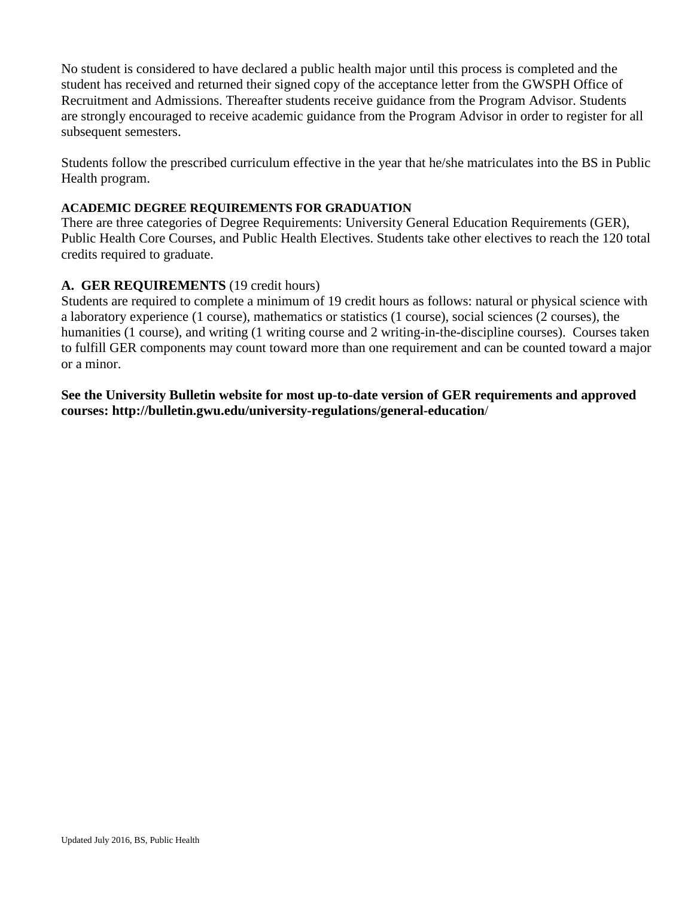No student is considered to have declared a public health major until this process is completed and the student has received and returned their signed copy of the acceptance letter from the GWSPH Office of Recruitment and Admissions. Thereafter students receive guidance from the Program Advisor. Students are strongly encouraged to receive academic guidance from the Program Advisor in order to register for all subsequent semesters.

Students follow the prescribed curriculum effective in the year that he/she matriculates into the BS in Public Health program.

#### **ACADEMIC DEGREE REQUIREMENTS FOR GRADUATION**

There are three categories of Degree Requirements: University General Education Requirements (GER), Public Health Core Courses, and Public Health Electives. Students take other electives to reach the 120 total credits required to graduate.

#### **A. GER REQUIREMENTS** (19 credit hours)

Students are required to complete a minimum of 19 credit hours as follows: natural or physical science with a laboratory experience (1 course), mathematics or statistics (1 course), social sciences (2 courses), the humanities (1 course), and writing (1 writing course and 2 writing-in-the-discipline courses). Courses taken to fulfill GER components may count toward more than one requirement and can be counted toward a major or a minor.

**See the University Bulletin website for most up-to-date version of GER requirements and approved courses: http://bulletin.gwu.edu/university-regulations/general-education**/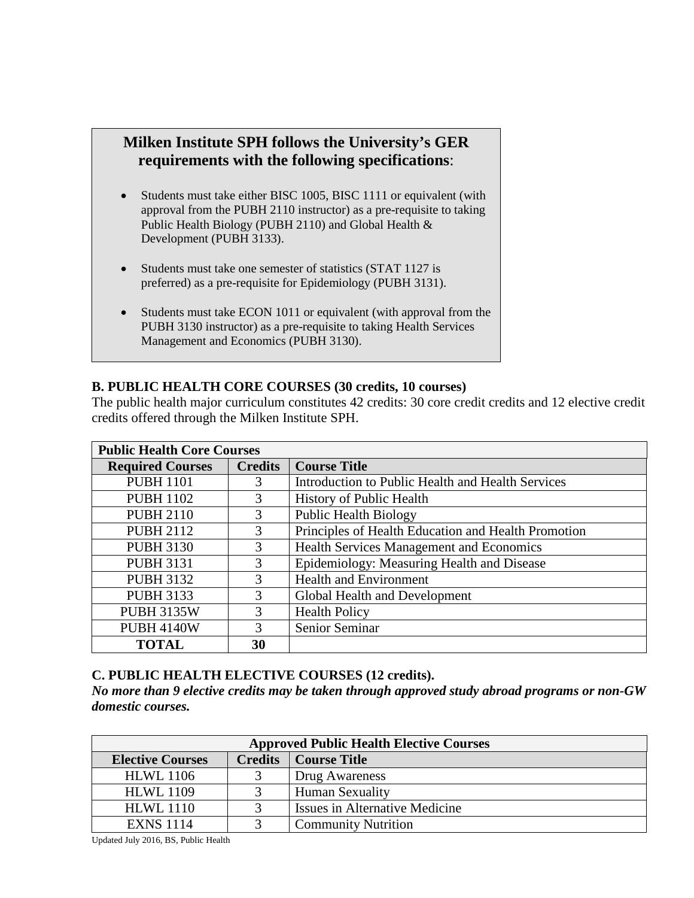## **Milken Institute SPH follows the University's GER requirements with the following specifications**:

- Students must take either BISC 1005, BISC 1111 or equivalent (with approval from the PUBH 2110 instructor) as a pre-requisite to taking Public Health Biology (PUBH 2110) and Global Health & Development (PUBH 3133).
- Students must take one semester of statistics (STAT 1127 is preferred) as a pre-requisite for Epidemiology (PUBH 3131).
- Students must take ECON 1011 or equivalent (with approval from the PUBH 3130 instructor) as a pre-requisite to taking Health Services Management and Economics (PUBH 3130).

#### **B. PUBLIC HEALTH CORE COURSES (30 credits, 10 courses)**

The public health major curriculum constitutes 42 credits: 30 core credit credits and 12 elective credit credits offered through the Milken Institute SPH.

| <b>Public Health Core Courses</b> |                |                                                     |  |  |  |
|-----------------------------------|----------------|-----------------------------------------------------|--|--|--|
| <b>Required Courses</b>           | <b>Credits</b> | <b>Course Title</b>                                 |  |  |  |
| <b>PUBH 1101</b>                  | 3              | Introduction to Public Health and Health Services   |  |  |  |
| <b>PUBH 1102</b>                  | 3              | <b>History of Public Health</b>                     |  |  |  |
| <b>PUBH 2110</b>                  | 3              | <b>Public Health Biology</b>                        |  |  |  |
| <b>PUBH 2112</b>                  | 3              | Principles of Health Education and Health Promotion |  |  |  |
| <b>PUBH 3130</b>                  | 3              | Health Services Management and Economics            |  |  |  |
| <b>PUBH 3131</b>                  | 3              | Epidemiology: Measuring Health and Disease          |  |  |  |
| <b>PUBH 3132</b>                  | 3              | <b>Health and Environment</b>                       |  |  |  |
| <b>PUBH 3133</b>                  | 3              | Global Health and Development                       |  |  |  |
| <b>PUBH 3135W</b>                 | 3              | <b>Health Policy</b>                                |  |  |  |
| <b>PUBH 4140W</b>                 | 3              | Senior Seminar                                      |  |  |  |
| <b>TOTAL</b>                      | 30             |                                                     |  |  |  |

#### **C. PUBLIC HEALTH ELECTIVE COURSES (12 credits).**

*No more than 9 elective credits may be taken through approved study abroad programs or non-GW domestic courses.*

| <b>Approved Public Health Elective Courses</b> |                |                                |  |  |  |
|------------------------------------------------|----------------|--------------------------------|--|--|--|
| <b>Elective Courses</b>                        | <b>Credits</b> | Course Title                   |  |  |  |
| <b>HLWL</b> 1106                               |                | Drug Awareness                 |  |  |  |
| <b>HLWL 1109</b>                               |                | <b>Human Sexuality</b>         |  |  |  |
| <b>HLWL 1110</b>                               |                | Issues in Alternative Medicine |  |  |  |
| <b>EXNS 1114</b>                               |                | <b>Community Nutrition</b>     |  |  |  |

Updated July 2016, BS, Public Health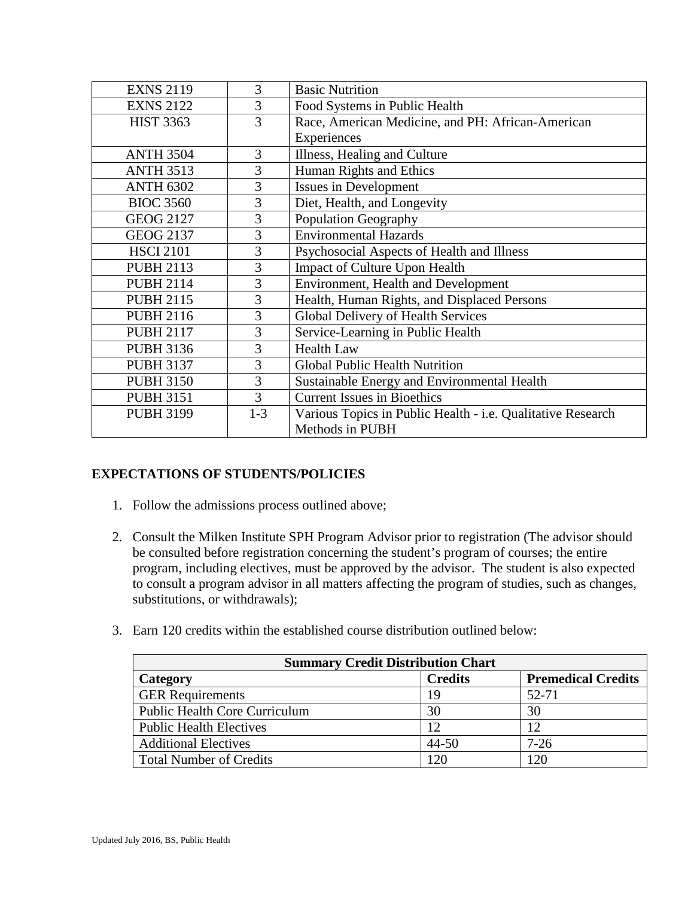| <b>EXNS 2119</b> | 3       | <b>Basic Nutrition</b>                                      |  |
|------------------|---------|-------------------------------------------------------------|--|
| <b>EXNS 2122</b> | 3       | Food Systems in Public Health                               |  |
| <b>HIST 3363</b> | 3       | Race, American Medicine, and PH: African-American           |  |
|                  |         | Experiences                                                 |  |
| <b>ANTH 3504</b> | 3       | Illness, Healing and Culture                                |  |
| <b>ANTH 3513</b> | 3       | Human Rights and Ethics                                     |  |
| <b>ANTH 6302</b> | 3       | Issues in Development                                       |  |
| <b>BIOC 3560</b> | 3       | Diet, Health, and Longevity                                 |  |
| <b>GEOG 2127</b> | 3       | <b>Population Geography</b>                                 |  |
| <b>GEOG 2137</b> | 3       | <b>Environmental Hazards</b>                                |  |
| <b>HSCI 2101</b> | 3       | Psychosocial Aspects of Health and Illness                  |  |
| <b>PUBH 2113</b> | 3       | Impact of Culture Upon Health                               |  |
| <b>PUBH 2114</b> | 3       | <b>Environment, Health and Development</b>                  |  |
| <b>PUBH 2115</b> | 3       | Health, Human Rights, and Displaced Persons                 |  |
| <b>PUBH 2116</b> | 3       | Global Delivery of Health Services                          |  |
| <b>PUBH 2117</b> | 3       | Service-Learning in Public Health                           |  |
| <b>PUBH 3136</b> | 3       | <b>Health Law</b>                                           |  |
| <b>PUBH 3137</b> | 3       | <b>Global Public Health Nutrition</b>                       |  |
| <b>PUBH 3150</b> | 3       | Sustainable Energy and Environmental Health                 |  |
| <b>PUBH 3151</b> | 3       | <b>Current Issues in Bioethics</b>                          |  |
| <b>PUBH 3199</b> | $1 - 3$ | Various Topics in Public Health - i.e. Qualitative Research |  |
|                  |         | Methods in PUBH                                             |  |

#### **EXPECTATIONS OF STUDENTS/POLICIES**

- 1. Follow the admissions process outlined above;
- 2. Consult the Milken Institute SPH Program Advisor prior to registration (The advisor should be consulted before registration concerning the student's program of courses; the entire program, including electives, must be approved by the advisor. The student is also expected to consult a program advisor in all matters affecting the program of studies, such as changes, substitutions, or withdrawals);
- 3. Earn 120 credits within the established course distribution outlined below:

| <b>Summary Credit Distribution Chart</b> |                |                           |  |  |  |
|------------------------------------------|----------------|---------------------------|--|--|--|
| Category                                 | <b>Credits</b> | <b>Premedical Credits</b> |  |  |  |
| <b>GER Requirements</b>                  | 19             | 52-71                     |  |  |  |
| <b>Public Health Core Curriculum</b>     | 30             | 30                        |  |  |  |
| <b>Public Health Electives</b>           | 12             | 12                        |  |  |  |
| <b>Additional Electives</b>              | $44 - 50$      | $7-26$                    |  |  |  |
| <b>Total Number of Credits</b>           | 120            | 120                       |  |  |  |